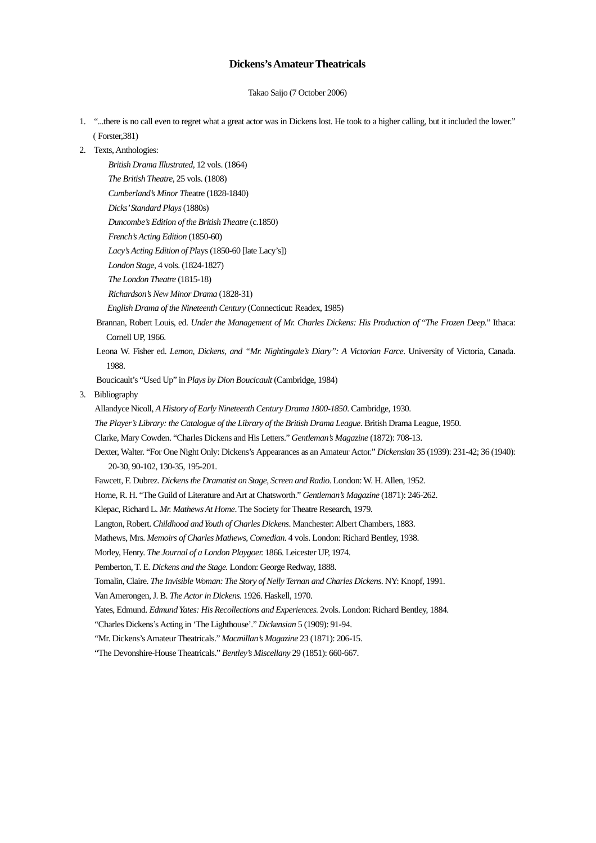## **Dickens's Amateur Theatricals**

Takao Saijo (7 October 2006)

- 1. "...there is no call even to regret what a great actor was in Dickens lost. He took to a higher calling, but it included the lower." ( Forster,381)
- 2. Texts, Anthologies:

```
British Drama Illustrated, 12 vols. (1864) 
   The British Theatre, 25 vols. (1808) 
   Cumberland's Minor Theatre (1828-1840) 
   Dicks' Standard Plays (1880s) 
   Duncombe's Edition of the British Theatre (c.1850) 
   French's Acting Edition (1850-60) 
   Lacy's Acting Edition of Plays (1850-60 [late Lacy's]) 
   London Stage, 4 vols. (1824-1827) 
   The London Theatre (1815-18) 
   Richardson's New Minor Drama (1828-31) 
   English Drama of the Nineteenth Century (Connecticut: Readex, 1985) 
Brannan, Robert Louis, ed. Under the Management of Mr. Charles Dickens: His Production of "The Frozen Deep." Ithaca: 
  Cornell UP, 1966.
```
Leona W. Fisher ed. *Lemon, Dickens, and "Mr. Nightingale's Diary": A Victorian Farce*. University of Victoria, Canada. 1988.

Boucicault's "Used Up" in *Plays by Dion Boucicault* (Cambridge, 1984)

3. Bibliography

Allandyce Nicoll, *A History of Early Nineteenth Century Drama 1800-1850*. Cambridge, 1930. *The Player's Library: the Catalogue of the Library of the British Drama League*. British Drama League, 1950. Clarke, Mary Cowden. "Charles Dickens and His Letters." *Gentleman's Magazine* (1872): 708-13. Dexter, Walter. "For One Night Only: Dickens's Appearances as an Amateur Actor." *Dickensian* 35 (1939): 231-42; 36 (1940): 20-30, 90-102, 130-35, 195-201.

Fawcett, F. Dubrez. *Dickens the Dramatist on Stage, Screen and Radio.* London: W. H. Allen, 1952.

Horne, R. H. "The Guild of Literature and Art at Chatsworth." *Gentleman's Magazine* (1871): 246-262.

Klepac, Richard L. *Mr. Mathews At Home*. The Society for Theatre Research, 1979.

Langton, Robert. *Childhood and Youth of Charles Dickens*. Manchester: Albert Chambers, 1883.

Mathews, Mrs. *Memoirs of Charles Mathews, Comedian*. 4 vols. London: Richard Bentley, 1938.

Morley, Henry. *The Journal of a London Playgoer.* 1866. Leicester UP, 1974.

Pemberton, T. E. *Dickens and the Stage.* London: George Redway, 1888.

Tomalin, Claire. *The Invisible Woman: The Story of Nelly Ternan and Charles Dickens*. NY: Knopf, 1991.

Van Amerongen, J. B. *The Actor in Dickens.* 1926. Haskell, 1970.

Yates, Edmund. *Edmund Yates: His Recollections and Experiences.* 2vols. London: Richard Bentley, 1884.

"Charles Dickens's Acting in 'The Lighthouse'." *Dickensian* 5 (1909): 91-94.

"Mr. Dickens's Amateur Theatricals." *Macmillan's Magazine* 23 (1871): 206-15.

"The Devonshire-House Theatricals." *Bentley's Miscellany* 29 (1851): 660-667.